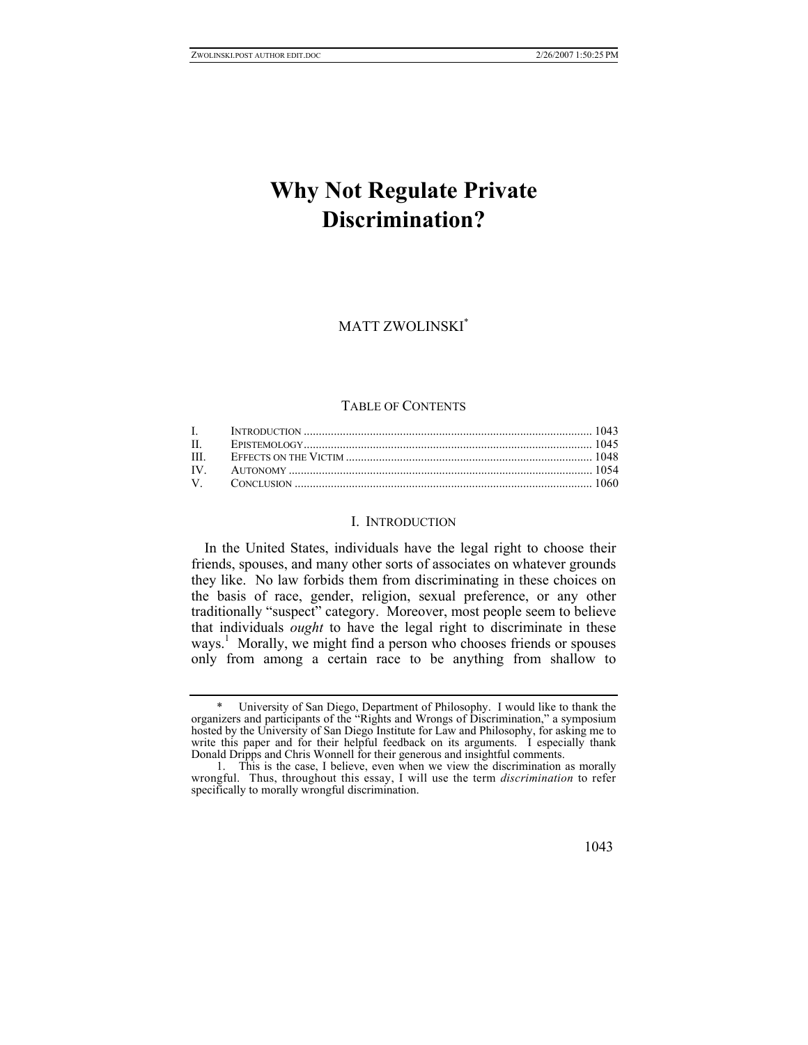# **Why Not Regulate Private Discrimination?**

MATT ZWOLINSK[I\\*](#page-0-0)

## TABLE OF CONTENTS

### I. INTRODUCTION

In the United States, individuals have the legal right to choose their friends, spouses, and many other sorts of associates on whatever grounds they like. No law forbids them from discriminating in these choices on the basis of race, gender, religion, sexual preference, or any other traditionally "suspect" category. Moreover, most people seem to believe that individuals *ought* to have the legal right to discriminate in these ways.<sup>[1](#page-0-1)</sup> Morally, we might find a person who chooses friends or spouses only from among a certain race to be anything from shallow to

<span id="page-0-0"></span> <sup>\*</sup> University of San Diego, Department of Philosophy. I would like to thank the organizers and participants of the "Rights and Wrongs of Discrimination," a symposium hosted by the University of San Diego Institute for Law and Philosophy, for asking me to write this paper and for their helpful feedback on its arguments. I especially thank Donald Dripps and Chris Wonnell for their generous and insightful comments.

<span id="page-0-1"></span><sup>1.</sup> This is the case, I believe, even when we view the discrimination as morally wrongful. Thus, throughout this essay, I will use the term *discrimination* to refer specifically to morally wrongful discrimination.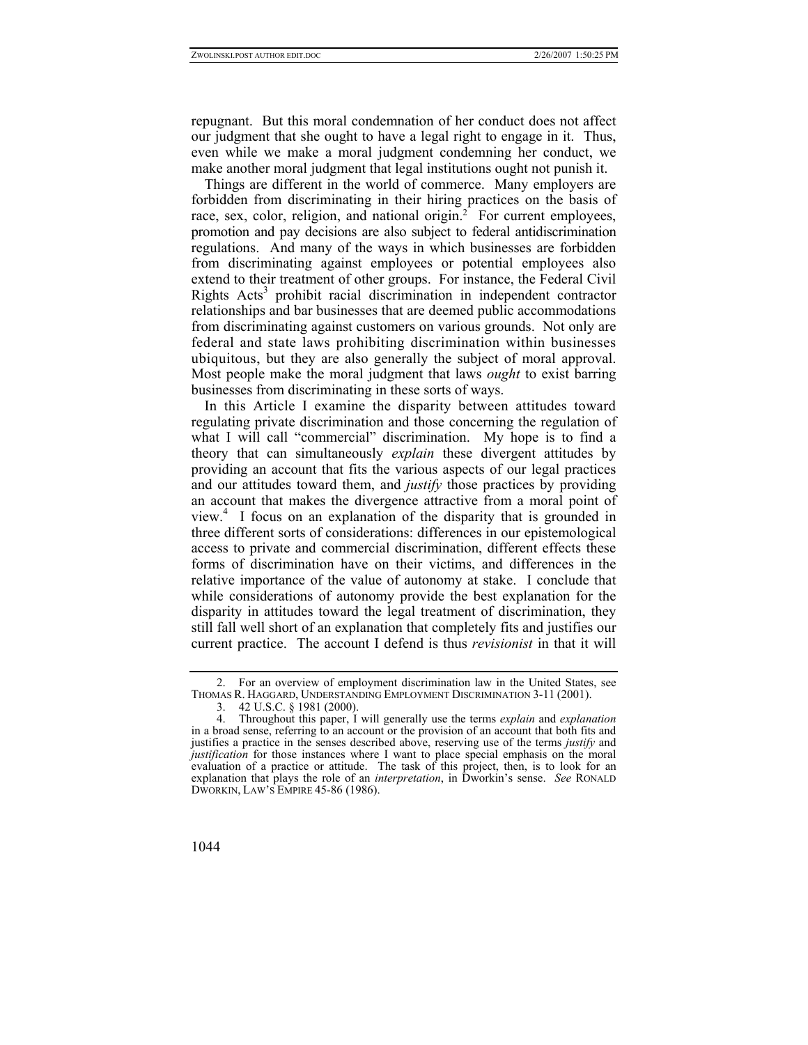repugnant. But this moral condemnation of her conduct does not affect our judgment that she ought to have a legal right to engage in it. Thus, even while we make a moral judgment condemning her conduct, we make another moral judgment that legal institutions ought not punish it.

Things are different in the world of commerce. Many employers are forbidden from discriminating in their hiring practices on the basis of race, sex, color, religion, and national origin.<sup>2</sup> For current employees, promotion and pay decisions are also subject to federal antidiscrimination regulations. And many of the ways in which businesses are forbidden from discriminating against employees or potential employees also extend to their treatment of other groups. For instance, the Federal Civil Rights Acts<sup>[3](#page-1-1)</sup> prohibit racial discrimination in independent contractor relationships and bar businesses that are deemed public accommodations from discriminating against customers on various grounds. Not only are federal and state laws prohibiting discrimination within businesses ubiquitous, but they are also generally the subject of moral approval. Most people make the moral judgment that laws *ought* to exist barring businesses from discriminating in these sorts of ways.

In this Article I examine the disparity between attitudes toward regulating private discrimination and those concerning the regulation of what I will call "commercial" discrimination. My hope is to find a theory that can simultaneously *explain* these divergent attitudes by providing an account that fits the various aspects of our legal practices and our attitudes toward them, and *justify* those practices by providing an account that makes the divergence attractive from a moral point of view.<sup>4</sup> I focus on an explanation of the disparity that is grounded in three different sorts of considerations: differences in our epistemological access to private and commercial discrimination, different effects these forms of discrimination have on their victims, and differences in the relative importance of the value of autonomy at stake. I conclude that while considerations of autonomy provide the best explanation for the disparity in attitudes toward the legal treatment of discrimination, they still fall well short of an explanation that completely fits and justifies our current practice. The account I defend is thus *revisionist* in that it will

<sup>2.</sup> For an overview of employment discrimination law in the United States, see THOMAS R. HAGGARD, UNDERSTANDING EMPLOYMENT DISCRIMINATION 3-11 (2001).

<span id="page-1-2"></span><span id="page-1-1"></span><span id="page-1-0"></span><sup>3. 42</sup> U.S.C. § 1981 (2000).

<sup>4.</sup> Throughout this paper, I will generally use the terms *explain* and *explanation* in a broad sense, referring to an account or the provision of an account that both fits and justifies a practice in the senses described above, reserving use of the terms *justify* and *justification* for those instances where I want to place special emphasis on the moral evaluation of a practice or attitude. The task of this project, then, is to look for an explanation that plays the role of an *interpretation*, in Dworkin's sense. *See* RONALD DWORKIN, LAW'S EMPIRE 45-86 (1986).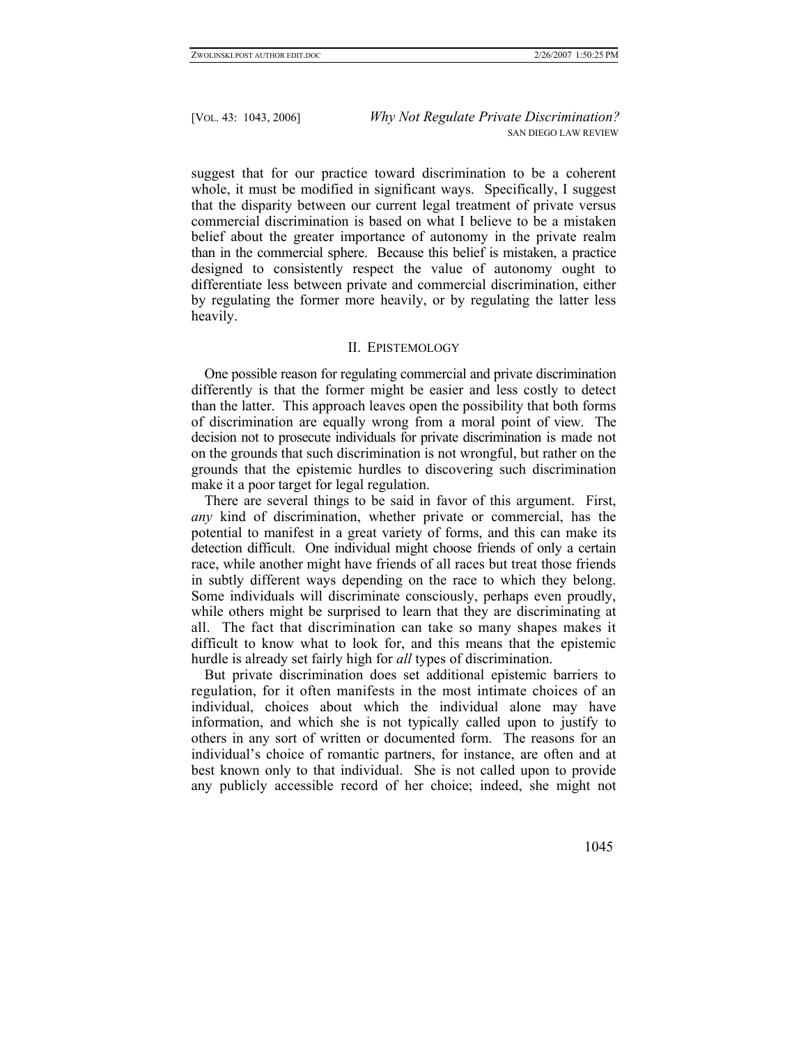suggest that for our practice toward discrimination to be a coherent whole, it must be modified in significant ways. Specifically, I suggest that the disparity between our current legal treatment of private versus commercial discrimination is based on what I believe to be a mistaken belief about the greater importance of autonomy in the private realm than in the commercial sphere. Because this belief is mistaken, a practice designed to consistently respect the value of autonomy ought to differentiate less between private and commercial discrimination, either by regulating the former more heavily, or by regulating the latter less heavily.

## II. EPISTEMOLOGY

One possible reason for regulating commercial and private discrimination differently is that the former might be easier and less costly to detect than the latter. This approach leaves open the possibility that both forms of discrimination are equally wrong from a moral point of view. The decision not to prosecute individuals for private discrimination is made not on the grounds that such discrimination is not wrongful, but rather on the grounds that the epistemic hurdles to discovering such discrimination make it a poor target for legal regulation.

There are several things to be said in favor of this argument. First, *any* kind of discrimination, whether private or commercial, has the potential to manifest in a great variety of forms, and this can make its detection difficult. One individual might choose friends of only a certain race, while another might have friends of all races but treat those friends in subtly different ways depending on the race to which they belong. Some individuals will discriminate consciously, perhaps even proudly, while others might be surprised to learn that they are discriminating at all. The fact that discrimination can take so many shapes makes it difficult to know what to look for, and this means that the epistemic hurdle is already set fairly high for *all* types of discrimination.

But private discrimination does set additional epistemic barriers to regulation, for it often manifests in the most intimate choices of an individual, choices about which the individual alone may have information, and which she is not typically called upon to justify to others in any sort of written or documented form. The reasons for an individual's choice of romantic partners, for instance, are often and at best known only to that individual. She is not called upon to provide any publicly accessible record of her choice; indeed, she might not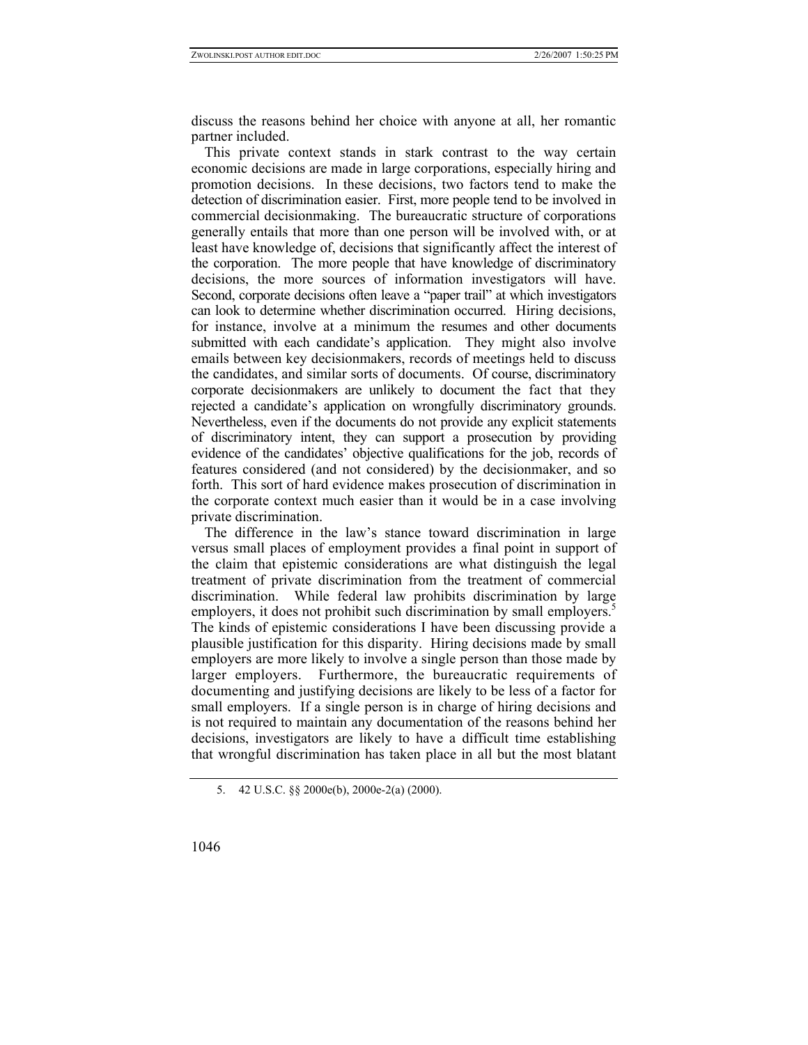discuss the reasons behind her choice with anyone at all, her romantic partner included.

This private context stands in stark contrast to the way certain economic decisions are made in large corporations, especially hiring and promotion decisions. In these decisions, two factors tend to make the detection of discrimination easier. First, more people tend to be involved in commercial decisionmaking. The bureaucratic structure of corporations generally entails that more than one person will be involved with, or at least have knowledge of, decisions that significantly affect the interest of the corporation. The more people that have knowledge of discriminatory decisions, the more sources of information investigators will have. Second, corporate decisions often leave a "paper trail" at which investigators can look to determine whether discrimination occurred. Hiring decisions, for instance, involve at a minimum the resumes and other documents submitted with each candidate's application. They might also involve emails between key decisionmakers, records of meetings held to discuss the candidates, and similar sorts of documents. Of course, discriminatory corporate decisionmakers are unlikely to document the fact that they rejected a candidate's application on wrongfully discriminatory grounds. Nevertheless, even if the documents do not provide any explicit statements of discriminatory intent, they can support a prosecution by providing evidence of the candidates' objective qualifications for the job, records of features considered (and not considered) by the decisionmaker, and so forth. This sort of hard evidence makes prosecution of discrimination in the corporate context much easier than it would be in a case involving private discrimination.

The difference in the law's stance toward discrimination in large versus small places of employment provides a final point in support of the claim that epistemic considerations are what distinguish the legal treatment of private discrimination from the treatment of commercial discrimination. While federal law prohibits discrimination by large employers, it does not prohibit such discrimination by small employers. The kinds of epistemic considerations I have been discussing provide a plausible justification for this disparity. Hiring decisions made by small employers are more likely to involve a single person than those made by larger employers. Furthermore, the bureaucratic requirements of documenting and justifying decisions are likely to be less of a factor for small employers. If a single person is in charge of hiring decisions and is not required to maintain any documentation of the reasons behind her decisions, investigators are likely to have a difficult time establishing that wrongful discrimination has taken place in all but the most blatant

<span id="page-3-0"></span><sup>5. 42</sup> U.S.C. §§ 2000e(b), 2000e-2(a) (2000).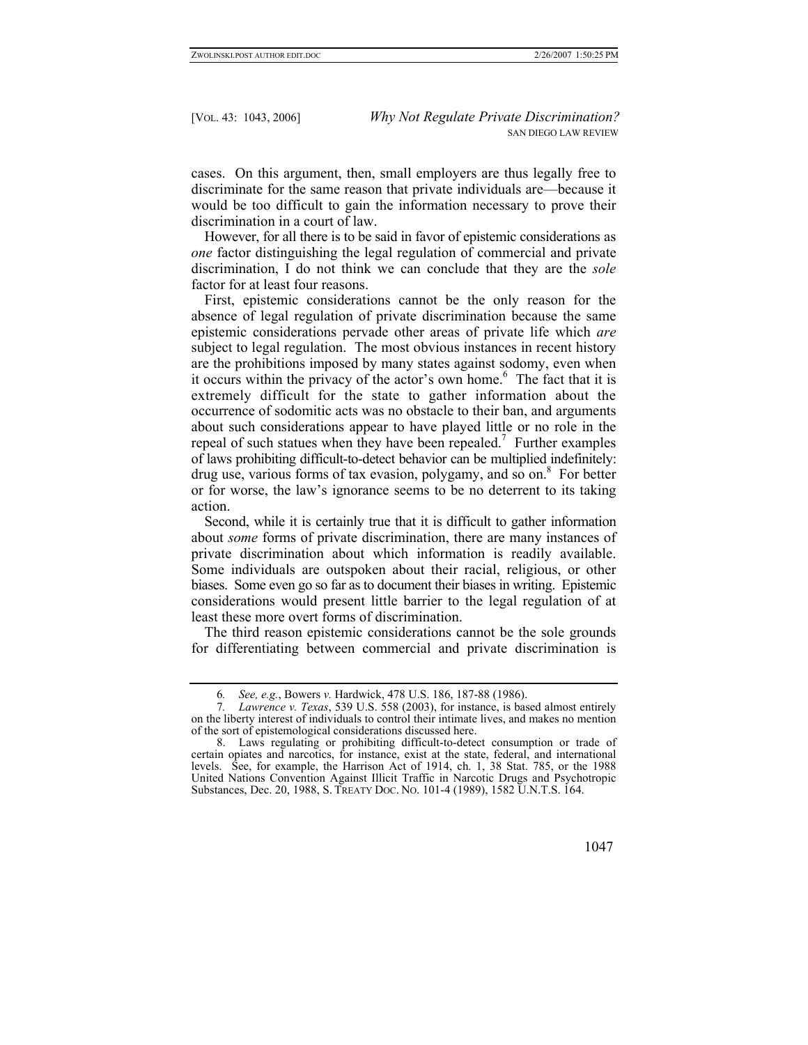cases. On this argument, then, small employers are thus legally free to discriminate for the same reason that private individuals are—because it would be too difficult to gain the information necessary to prove their discrimination in a court of law.

However, for all there is to be said in favor of epistemic considerations as *one* factor distinguishing the legal regulation of commercial and private discrimination, I do not think we can conclude that they are the *sole* factor for at least four reasons.

First, epistemic considerations cannot be the only reason for the absence of legal regulation of private discrimination because the same epistemic considerations pervade other areas of private life which *are*  subject to legal regulation. The most obvious instances in recent history are the prohibitions imposed by many states against sodomy, even when it occurs within the privacy of the actor's own home.<sup>[6](#page-4-0)</sup> The fact that it is extremely difficult for the state to gather information about the occurrence of sodomitic acts was no obstacle to their ban, and arguments about such considerations appear to have played little or no role in the repeal of such statues when they have been repealed.<sup>[7](#page-4-1)</sup> Further examples of laws prohibiting difficult-to-detect behavior can be multiplied indefinitely: drug use, various forms of tax evasion, polygamy, and so on.<sup>[8](#page-4-2)</sup> For better or for worse, the law's ignorance seems to be no deterrent to its taking action.

Second, while it is certainly true that it is difficult to gather information about *some* forms of private discrimination, there are many instances of private discrimination about which information is readily available. Some individuals are outspoken about their racial, religious, or other biases. Some even go so far as to document their biases in writing. Epistemic considerations would present little barrier to the legal regulation of at least these more overt forms of discrimination.

The third reason epistemic considerations cannot be the sole grounds for differentiating between commercial and private discrimination is

<span id="page-4-1"></span><span id="page-4-0"></span><sup>6</sup>*. See, e.g.*, Bowers *v.* Hardwick, 478 U.S. 186, 187-88 (1986).

<sup>7</sup>*. Lawrence v. Texas*, 539 U.S. 558 (2003), for instance, is based almost entirely on the liberty interest of individuals to control their intimate lives, and makes no mention of the sort of epistemological considerations discussed here.

<span id="page-4-2"></span><sup>8.</sup> Laws regulating or prohibiting difficult-to-detect consumption or trade of certain opiates and narcotics, for instance, exist at the state, federal, and international levels. See, for example, the Harrison Act of 1914, ch. 1, 38 Stat. 785, or the 1988 United Nations Convention Against Illicit Traffic in Narcotic Drugs and Psychotropic Substances, Dec. 20, 1988, S. TREATY DOC. NO. 101-4 (1989), 1582 U.N.T.S. 164.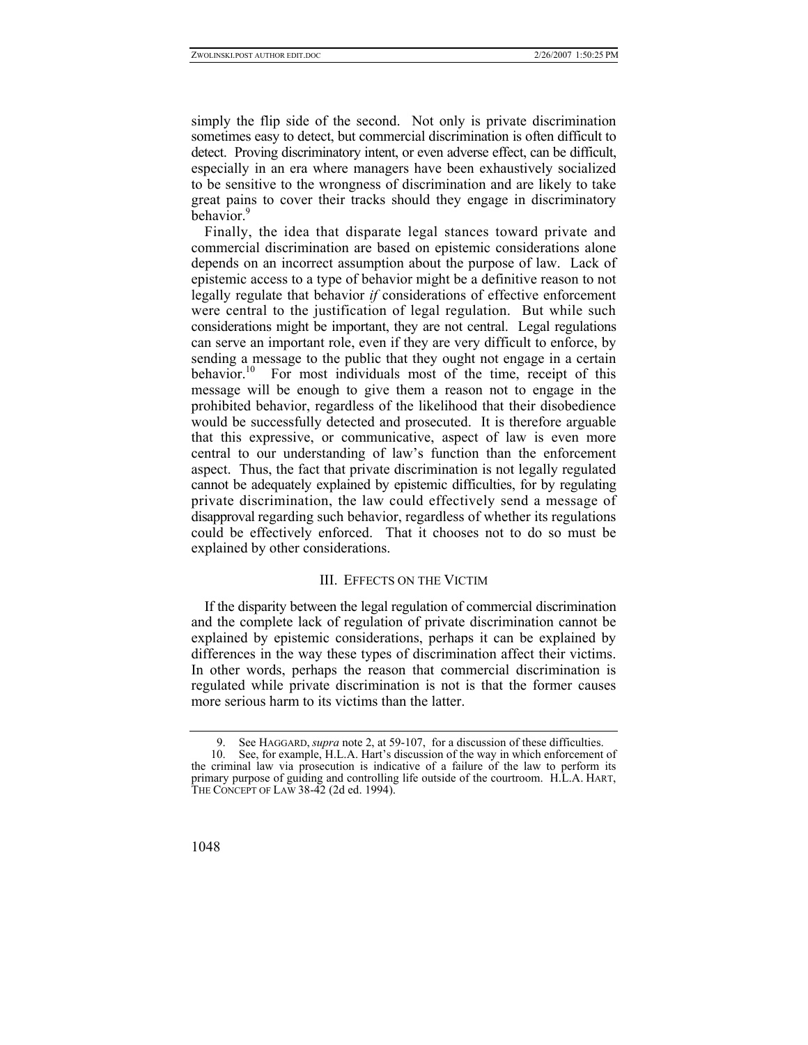simply the flip side of the second. Not only is private discrimination sometimes easy to detect, but commercial discrimination is often difficult to detect. Proving discriminatory intent, or even adverse effect, can be difficult, especially in an era where managers have been exhaustively socialized to be sensitive to the wrongness of discrimination and are likely to take great pains to cover their tracks should they engage in discriminatory behavior.<sup>9</sup>

Finally, the idea that disparate legal stances toward private and commercial discrimination are based on epistemic considerations alone depends on an incorrect assumption about the purpose of law. Lack of epistemic access to a type of behavior might be a definitive reason to not legally regulate that behavior *if* considerations of effective enforcement were central to the justification of legal regulation. But while such considerations might be important, they are not central. Legal regulations can serve an important role, even if they are very difficult to enforce, by sending a message to the public that they ought not engage in a certain behavior.<sup>10</sup> For most individuals most of the time, receipt of this message will be enough to give them a reason not to engage in the prohibited behavior, regardless of the likelihood that their disobedience would be successfully detected and prosecuted. It is therefore arguable that this expressive, or communicative, aspect of law is even more central to our understanding of law's function than the enforcement aspect. Thus, the fact that private discrimination is not legally regulated cannot be adequately explained by epistemic difficulties, for by regulating private discrimination, the law could effectively send a message of disapproval regarding such behavior, regardless of whether its regulations could be effectively enforced. That it chooses not to do so must be explained by other considerations.

# III. EFFECTS ON THE VICTIM

If the disparity between the legal regulation of commercial discrimination and the complete lack of regulation of private discrimination cannot be explained by epistemic considerations, perhaps it can be explained by differences in the way these types of discrimination affect their victims. In other words, perhaps the reason that commercial discrimination is regulated while private discrimination is not is that the former causes more serious harm to its victims than the latter.

<span id="page-5-1"></span><span id="page-5-0"></span><sup>9.</sup> See HAGGARD, *supra* note 2, at 59-107, for a discussion of these difficulties.

<sup>10.</sup> See, for example, H.L.A. Hart's discussion of the way in which enforcement of the criminal law via prosecution is indicative of a failure of the law to perform its primary purpose of guiding and controlling life outside of the courtroom. H.L.A. HART, THE CONCEPT OF LAW 38-42 (2d ed. 1994).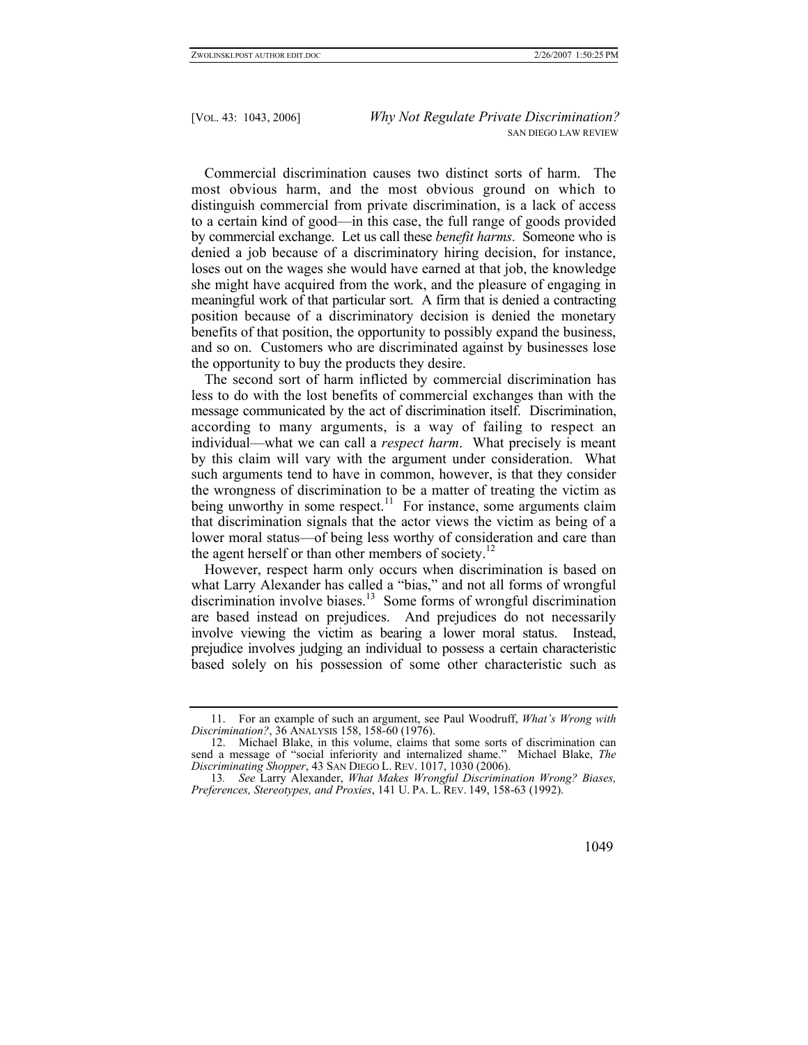Commercial discrimination causes two distinct sorts of harm. The most obvious harm, and the most obvious ground on which to distinguish commercial from private discrimination, is a lack of access to a certain kind of good—in this case, the full range of goods provided by commercial exchange. Let us call these *benefit harms*. Someone who is denied a job because of a discriminatory hiring decision, for instance, loses out on the wages she would have earned at that job, the knowledge she might have acquired from the work, and the pleasure of engaging in meaningful work of that particular sort. A firm that is denied a contracting position because of a discriminatory decision is denied the monetary benefits of that position, the opportunity to possibly expand the business, and so on. Customers who are discriminated against by businesses lose the opportunity to buy the products they desire.

The second sort of harm inflicted by commercial discrimination has less to do with the lost benefits of commercial exchanges than with the message communicated by the act of discrimination itself. Discrimination, according to many arguments, is a way of failing to respect an individual—what we can call a *respect harm*. What precisely is meant by this claim will vary with the argument under consideration. What such arguments tend to have in common, however, is that they consider the wrongness of discrimination to be a matter of treating the victim as being unworthy in some respect.<sup>11</sup> For instance, some arguments claim that discrimination signals that the actor views the victim as being of a lower moral status—of being less worthy of consideration and care than the agent herself or than other members of society.<sup>12</sup>

However, respect harm only occurs when discrimination is based on what Larry Alexander has called a "bias," and not all forms of wrongful discrimination involve biases.<sup>13</sup> Some forms of wrongful discrimination are based instead on prejudices. And prejudices do not necessarily involve viewing the victim as bearing a lower moral status. Instead, prejudice involves judging an individual to possess a certain characteristic based solely on his possession of some other characteristic such as

<span id="page-6-0"></span><sup>11.</sup> For an example of such an argument, see Paul Woodruff, *What's Wrong with Discrimination?*, 36 ANALYSIS 158, 158-60 (1976).

<span id="page-6-1"></span><sup>12.</sup> Michael Blake, in this volume, claims that some sorts of discrimination can send a message of "social inferiority and internalized shame." Michael Blake, *The Discriminating Shopper*, 43 SAN DIEGO L. REV. 1017, 1030 (2006).

<span id="page-6-2"></span><sup>13</sup>*. See* Larry Alexander, *What Makes Wrongful Discrimination Wrong? Biases, Preferences, Stereotypes, and Proxies*, 141 U. PA. L. REV. 149, 158-63 (1992).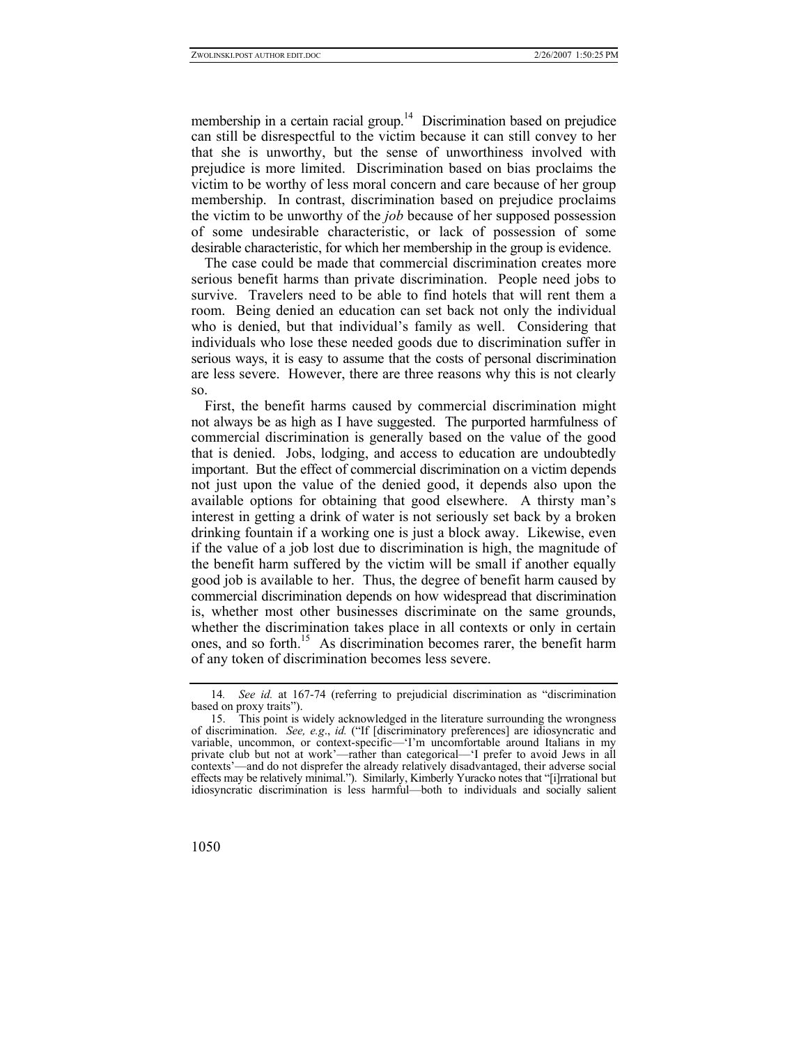membership in a certain racial group.<sup>14</sup> Discrimination based on prejudice can still be disrespectful to the victim because it can still convey to her that she is unworthy, but the sense of unworthiness involved with prejudice is more limited. Discrimination based on bias proclaims the victim to be worthy of less moral concern and care because of her group membership. In contrast, discrimination based on prejudice proclaims the victim to be unworthy of the *job* because of her supposed possession of some undesirable characteristic, or lack of possession of some desirable characteristic, for which her membership in the group is evidence.

The case could be made that commercial discrimination creates more serious benefit harms than private discrimination. People need jobs to survive. Travelers need to be able to find hotels that will rent them a room. Being denied an education can set back not only the individual who is denied, but that individual's family as well. Considering that individuals who lose these needed goods due to discrimination suffer in serious ways, it is easy to assume that the costs of personal discrimination are less severe. However, there are three reasons why this is not clearly so.

First, the benefit harms caused by commercial discrimination might not always be as high as I have suggested. The purported harmfulness of commercial discrimination is generally based on the value of the good that is denied. Jobs, lodging, and access to education are undoubtedly important. But the effect of commercial discrimination on a victim depends not just upon the value of the denied good, it depends also upon the available options for obtaining that good elsewhere. A thirsty man's interest in getting a drink of water is not seriously set back by a broken drinking fountain if a working one is just a block away. Likewise, even if the value of a job lost due to discrimination is high, the magnitude of the benefit harm suffered by the victim will be small if another equally good job is available to her. Thus, the degree of benefit harm caused by commercial discrimination depends on how widespread that discrimination is, whether most other businesses discriminate on the same grounds, whether the discrimination takes place in all contexts or only in certain ones, and so forth.<sup>15</sup> As discrimination becomes rarer, the benefit harm of any token of discrimination becomes less severe.

<span id="page-7-0"></span><sup>14</sup>*. See id.* at 167-74 (referring to prejudicial discrimination as "discrimination based on proxy traits").

<span id="page-7-1"></span><sup>15.</sup> This point is widely acknowledged in the literature surrounding the wrongness of discrimination. *See, e.g*., *id.* ("If [discriminatory preferences] are idiosyncratic and variable, uncommon, or context-specific—'I'm uncomfortable around Italians in my private club but not at work'—rather than categorical—'I prefer to avoid Jews in all contexts'—and do not disprefer the already relatively disadvantaged, their adverse social effects may be relatively minimal."). Similarly, Kimberly Yuracko notes that "[i]rrational but idiosyncratic discrimination is less harmful—both to individuals and socially salient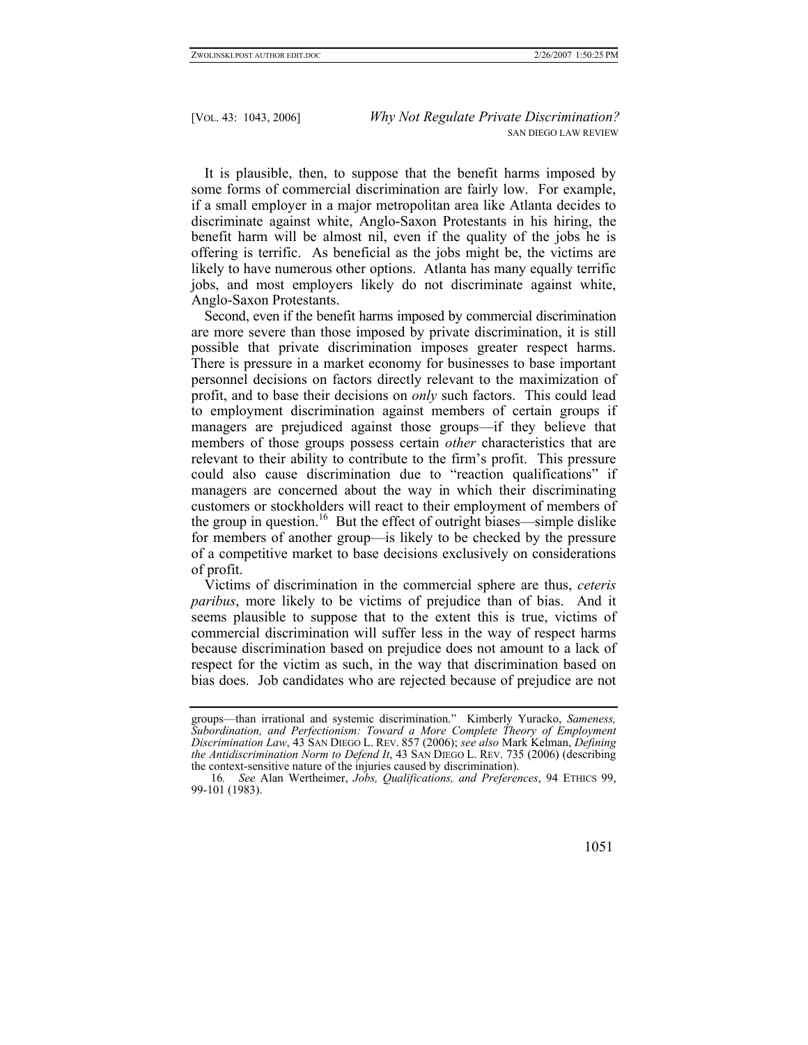It is plausible, then, to suppose that the benefit harms imposed by some forms of commercial discrimination are fairly low. For example, if a small employer in a major metropolitan area like Atlanta decides to discriminate against white, Anglo-Saxon Protestants in his hiring, the benefit harm will be almost nil, even if the quality of the jobs he is offering is terrific. As beneficial as the jobs might be, the victims are likely to have numerous other options. Atlanta has many equally terrific jobs, and most employers likely do not discriminate against white, Anglo-Saxon Protestants.

Second, even if the benefit harms imposed by commercial discrimination are more severe than those imposed by private discrimination, it is still possible that private discrimination imposes greater respect harms. There is pressure in a market economy for businesses to base important personnel decisions on factors directly relevant to the maximization of profit, and to base their decisions on *only* such factors. This could lead to employment discrimination against members of certain groups if managers are prejudiced against those groups—if they believe that members of those groups possess certain *other* characteristics that are relevant to their ability to contribute to the firm's profit. This pressure could also cause discrimination due to "reaction qualifications" if managers are concerned about the way in which their discriminating customers or stockholders will react to their employment of members of the group in question.<sup>16</sup> But the effect of outright biases—simple dislike for members of another group—is likely to be checked by the pressure of a competitive market to base decisions exclusively on considerations of profit.

Victims of discrimination in the commercial sphere are thus, *ceteris paribus*, more likely to be victims of prejudice than of bias. And it seems plausible to suppose that to the extent this is true, victims of commercial discrimination will suffer less in the way of respect harms because discrimination based on prejudice does not amount to a lack of respect for the victim as such, in the way that discrimination based on bias does. Job candidates who are rejected because of prejudice are not

groups—than irrational and systemic discrimination." Kimberly Yuracko, *Sameness, Subordination, and Perfectionism: Toward a More Complete Theory of Employment Discrimination Law*, 43 SAN DIEGO L. REV. 857 (2006); *see also* Mark Kelman, *Defining the Antidiscrimination Norm to Defend It*, 43 SAN DIEGO L. REV. 735 (2006) (describing the context-sensitive nature of the injuries caused by discrimination).

<span id="page-8-0"></span><sup>16</sup>*. See* Alan Wertheimer, *Jobs, Qualifications, and Preferences*, 94 ETHICS 99, 99-101 (1983).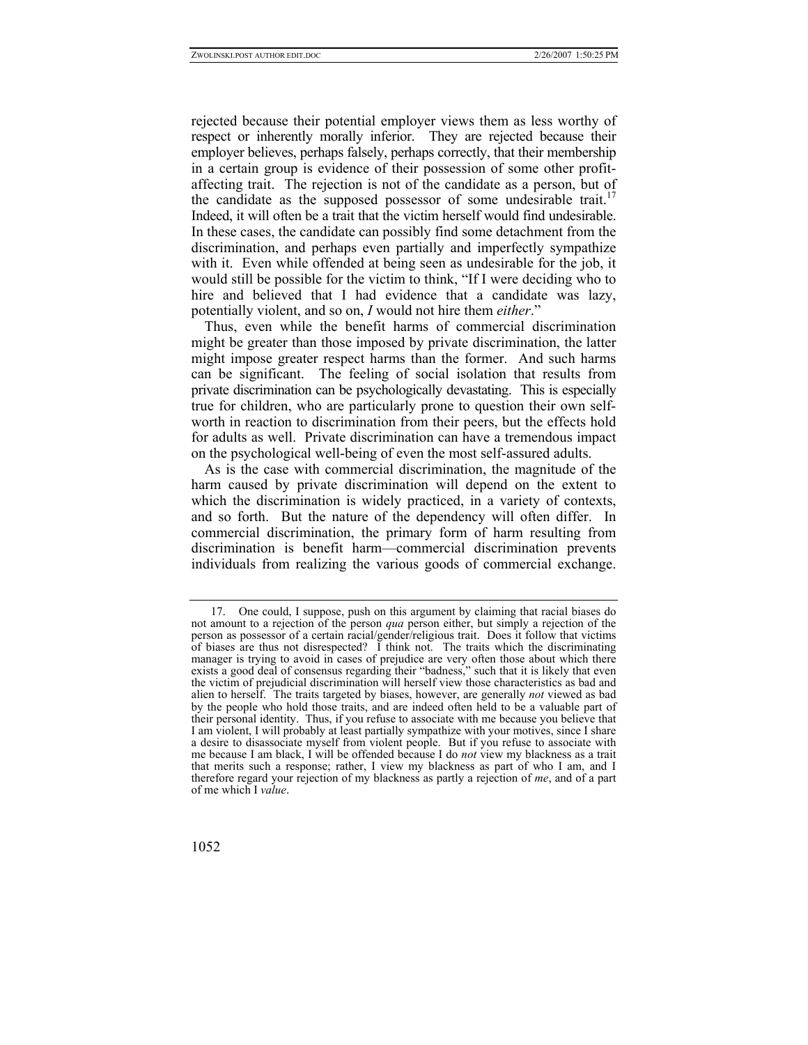rejected because their potential employer views them as less worthy of respect or inherently morally inferior. They are rejected because their employer believes, perhaps falsely, perhaps correctly, that their membership in a certain group is evidence of their possession of some other profitaffecting trait. The rejection is not of the candidate as a person, but of the candidate as the supposed possessor of some undesirable trait.<sup>17</sup> Indeed, it will often be a trait that the victim herself would find undesirable. In these cases, the candidate can possibly find some detachment from the discrimination, and perhaps even partially and imperfectly sympathize with it. Even while offended at being seen as undesirable for the job, it would still be possible for the victim to think, "If I were deciding who to hire and believed that I had evidence that a candidate was lazy, potentially violent, and so on, *I* would not hire them *either*."

Thus, even while the benefit harms of commercial discrimination might be greater than those imposed by private discrimination, the latter might impose greater respect harms than the former. And such harms can be significant. The feeling of social isolation that results from private discrimination can be psychologically devastating. This is especially true for children, who are particularly prone to question their own selfworth in reaction to discrimination from their peers, but the effects hold for adults as well. Private discrimination can have a tremendous impact on the psychological well-being of even the most self-assured adults.

As is the case with commercial discrimination, the magnitude of the harm caused by private discrimination will depend on the extent to which the discrimination is widely practiced, in a variety of contexts, and so forth. But the nature of the dependency will often differ. In commercial discrimination, the primary form of harm resulting from discrimination is benefit harm—commercial discrimination prevents individuals from realizing the various goods of commercial exchange.

<span id="page-9-0"></span><sup>17.</sup> One could, I suppose, push on this argument by claiming that racial biases do not amount to a rejection of the person *qua* person either, but simply a rejection of the person as possessor of a certain racial/gender/religious trait. Does it follow that victims of biases are thus not disrespected? I think not. The traits which the discriminating manager is trying to avoid in cases of prejudice are very often those about which there exists a good deal of consensus regarding their "badness," such that it is likely that even the victim of prejudicial discrimination will herself view those characteristics as bad and alien to herself. The traits targeted by biases, however, are generally *not* viewed as bad by the people who hold those traits, and are indeed often held to be a valuable part of their personal identity. Thus, if you refuse to associate with me because you believe that I am violent, I will probably at least partially sympathize with your motives, since I share a desire to disassociate myself from violent people. But if you refuse to associate with me because I am black, I will be offended because I do *not* view my blackness as a trait that merits such a response; rather, I view my blackness as part of who I am, and I therefore regard your rejection of my blackness as partly a rejection of *me*, and of a part of me which I *value*.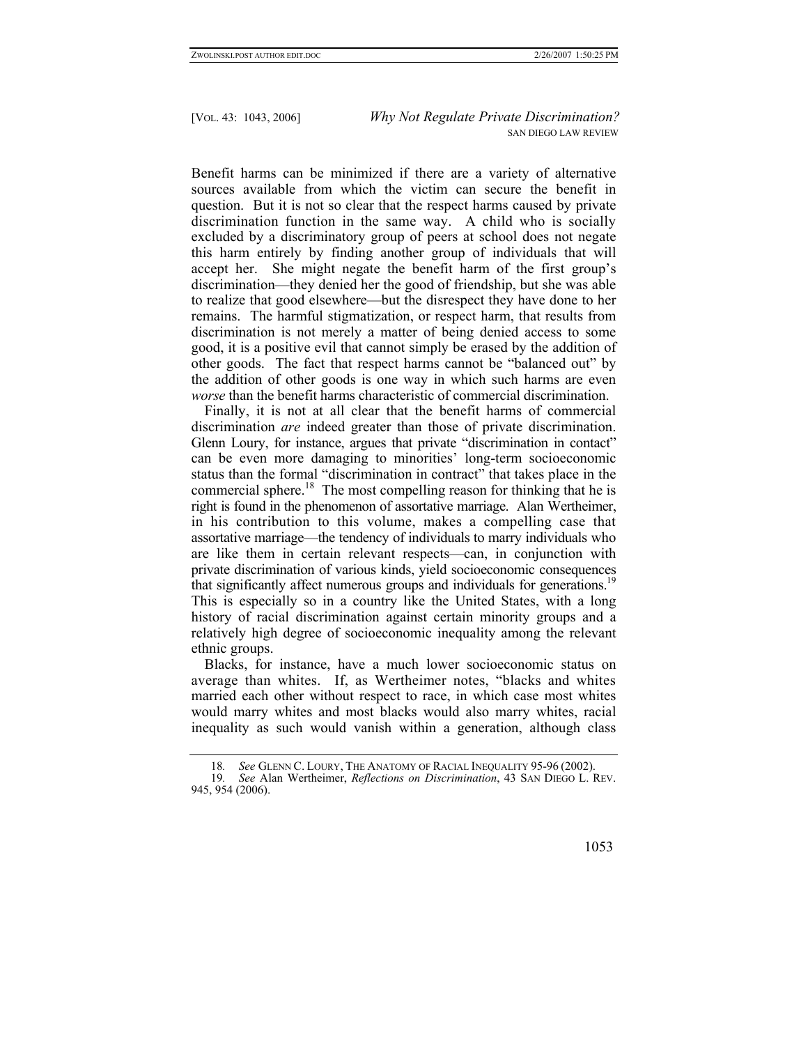Benefit harms can be minimized if there are a variety of alternative sources available from which the victim can secure the benefit in question. But it is not so clear that the respect harms caused by private discrimination function in the same way. A child who is socially excluded by a discriminatory group of peers at school does not negate this harm entirely by finding another group of individuals that will accept her. She might negate the benefit harm of the first group's discrimination—they denied her the good of friendship, but she was able to realize that good elsewhere—but the disrespect they have done to her remains. The harmful stigmatization, or respect harm, that results from discrimination is not merely a matter of being denied access to some good, it is a positive evil that cannot simply be erased by the addition of other goods. The fact that respect harms cannot be "balanced out" by the addition of other goods is one way in which such harms are even *worse* than the benefit harms characteristic of commercial discrimination.

Finally, it is not at all clear that the benefit harms of commercial discrimination *are* indeed greater than those of private discrimination. Glenn Loury, for instance, argues that private "discrimination in contact" can be even more damaging to minorities' long-term socioeconomic status than the formal "discrimination in contract" that takes place in the commercial sphere.<sup>18</sup> The most compelling reason for thinking that he is right is found in the phenomenon of assortative marriage. Alan Wertheimer, in his contribution to this volume, makes a compelling case that assortative marriage—the tendency of individuals to marry individuals who are like them in certain relevant respects—can, in conjunction with private discrimination of various kinds, yield socioeconomic consequences that significantly affect numerous groups and individuals for generations.<sup>19</sup> This is especially so in a country like the United States, with a long history of racial discrimination against certain minority groups and a relatively high degree of socioeconomic inequality among the relevant ethnic groups.

Blacks, for instance, have a much lower socioeconomic status on average than whites. If, as Wertheimer notes, "blacks and whites married each other without respect to race, in which case most whites would marry whites and most blacks would also marry whites, racial inequality as such would vanish within a generation, although class

<span id="page-10-1"></span><span id="page-10-0"></span><sup>18</sup>*. See* GLENN C. LOURY, THE ANATOMY OF RACIAL INEQUALITY 95-96 (2002).

<sup>19</sup>*. See* Alan Wertheimer, *Reflections on Discrimination*, 43 SAN DIEGO L. REV. 945, 954 (2006).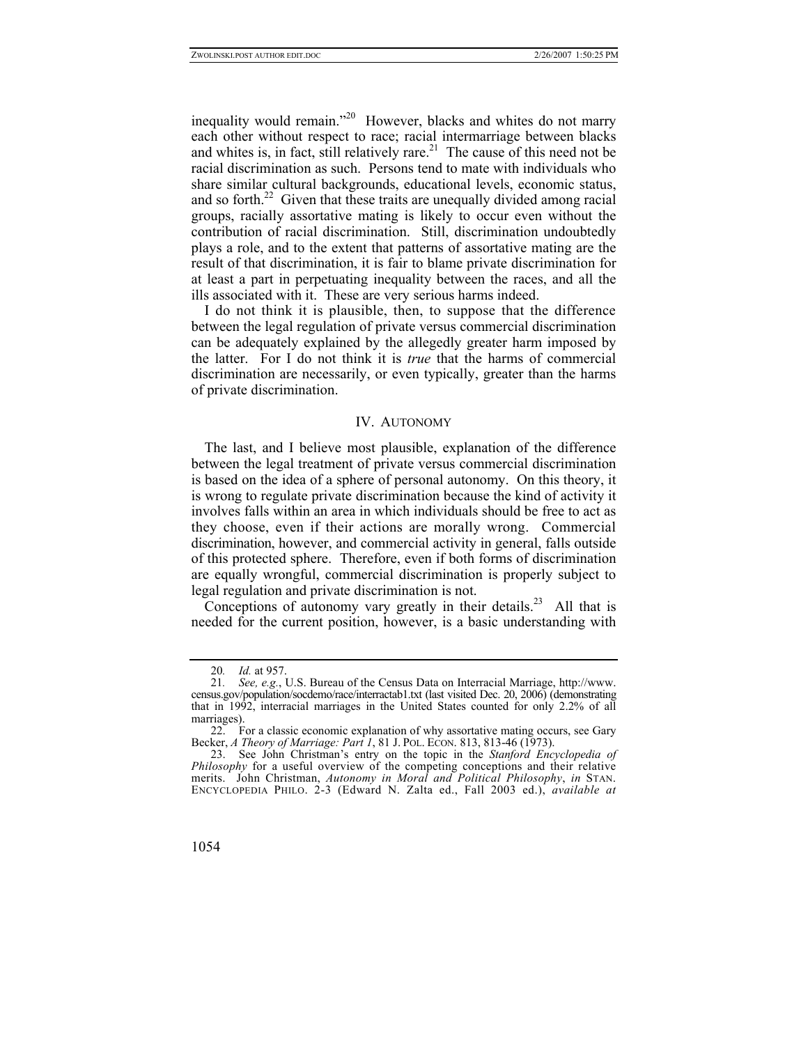inequality would remain."<sup>20</sup> However, blacks and whites do not marry each other without respect to race; racial intermarriage between blacks and whites is, in fact, still relatively rare.<sup>21</sup> The cause of this need not be racial discrimination as such. Persons tend to mate with individuals who share similar cultural backgrounds, educational levels, economic status, and so forth. $22$  Given that these traits are unequally divided among racial groups, racially assortative mating is likely to occur even without the contribution of racial discrimination. Still, discrimination undoubtedly plays a role, and to the extent that patterns of assortative mating are the result of that discrimination, it is fair to blame private discrimination for at least a part in perpetuating inequality between the races, and all the ills associated with it. These are very serious harms indeed.

I do not think it is plausible, then, to suppose that the difference between the legal regulation of private versus commercial discrimination can be adequately explained by the allegedly greater harm imposed by the latter. For I do not think it is *true* that the harms of commercial discrimination are necessarily, or even typically, greater than the harms of private discrimination.

### IV. AUTONOMY

The last, and I believe most plausible, explanation of the difference between the legal treatment of private versus commercial discrimination is based on the idea of a sphere of personal autonomy. On this theory, it is wrong to regulate private discrimination because the kind of activity it involves falls within an area in which individuals should be free to act as they choose, even if their actions are morally wrong. Commercial discrimination, however, and commercial activity in general, falls outside of this protected sphere. Therefore, even if both forms of discrimination are equally wrongful, commercial discrimination is properly subject to legal regulation and private discrimination is not.

Conceptions of autonomy vary greatly in their details.<sup>23</sup> All that is needed for the current position, however, is a basic understanding with

<span id="page-11-1"></span><span id="page-11-0"></span><sup>20</sup>*. Id.* at 957.

<sup>21</sup>*. See, e.g.*, U.S. Bureau of the Census Data on Interracial Marriage, http://www. census.gov/population/socdemo/race/interractab1.txt (last visited Dec. 20, 2006) (demonstrating that in 1992, interracial marriages in the United States counted for only 2.2% of all marriages).

<span id="page-11-2"></span><sup>22.</sup> For a classic economic explanation of why assortative mating occurs, see Gary Becker, *A Theory of Marriage: Part 1*, 81 J. POL. ECON. 813, 813-46 (1973).

<span id="page-11-3"></span><sup>23.</sup> See John Christman's entry on the topic in the *Stanford Encyclopedia of Philosophy* for a useful overview of the competing conceptions and their relative merits. John Christman, *Autonomy in Moral and Political Philosophy*, *in* STAN. ENCYCLOPEDIA PHILO. 2-3 (Edward N. Zalta ed., Fall 2003 ed.), *available at*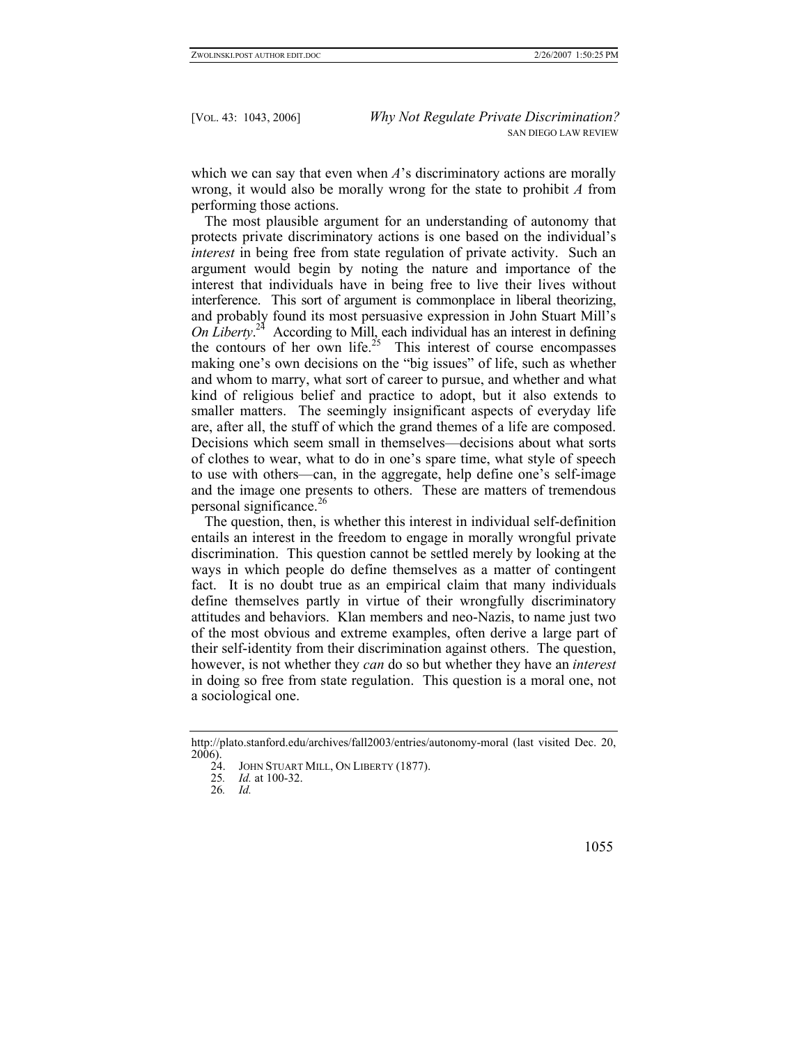which we can say that even when *A*'s discriminatory actions are morally wrong, it would also be morally wrong for the state to prohibit *A* from performing those actions.

The most plausible argument for an understanding of autonomy that protects private discriminatory actions is one based on the individual's *interest* in being free from state regulation of private activity. Such an argument would begin by noting the nature and importance of the interest that individuals have in being free to live their lives without interference. This sort of argument is commonplace in liberal theorizing, and probably found its most persuasive expression in John Stuart Mill's *On Liberty*. [24](#page-12-0) According to Mill, each individual has an interest in defining the contours of her own life.<sup>25</sup> This interest of course encompasses making one's own decisions on the "big issues" of life, such as whether and whom to marry, what sort of career to pursue, and whether and what kind of religious belief and practice to adopt, but it also extends to smaller matters. The seemingly insignificant aspects of everyday life are, after all, the stuff of which the grand themes of a life are composed. Decisions which seem small in themselves—decisions about what sorts of clothes to wear, what to do in one's spare time, what style of speech to use with others—can, in the aggregate, help define one's self-image and the image one presents to others. These are matters of tremendous personal significance.<sup>[26](#page-12-2)</sup>

The question, then, is whether this interest in individual self-definition entails an interest in the freedom to engage in morally wrongful private discrimination. This question cannot be settled merely by looking at the ways in which people do define themselves as a matter of contingent fact. It is no doubt true as an empirical claim that many individuals define themselves partly in virtue of their wrongfully discriminatory attitudes and behaviors. Klan members and neo-Nazis, to name just two of the most obvious and extreme examples, often derive a large part of their self-identity from their discrimination against others. The question, however, is not whether they *can* do so but whether they have an *interest*  in doing so free from state regulation. This question is a moral one, not a sociological one.

http://plato.stanford.edu/archives/fall2003/entries/autonomy-moral (last visited Dec. 20,  $\frac{2006}{24}$ .

<span id="page-12-0"></span>JOHN STUART MILL, ON LIBERTY (1877).

<span id="page-12-1"></span><sup>25</sup>*. Id.* at 100-32.

<span id="page-12-2"></span><sup>26</sup>*. Id.*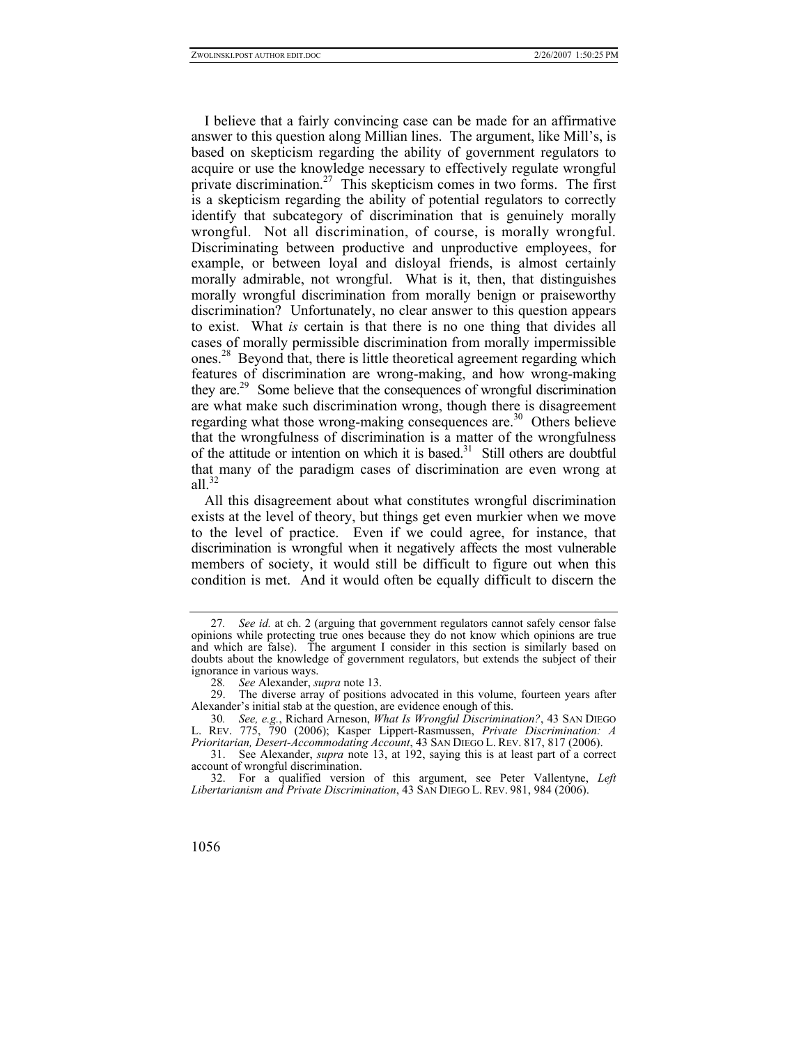I believe that a fairly convincing case can be made for an affirmative answer to this question along Millian lines. The argument, like Mill's, is based on skepticism regarding the ability of government regulators to acquire or use the knowledge necessary to effectively regulate wrongful private discrimination.<sup>27</sup> This skepticism comes in two forms. The first is a skepticism regarding the ability of potential regulators to correctly identify that subcategory of discrimination that is genuinely morally wrongful. Not all discrimination, of course, is morally wrongful. Discriminating between productive and unproductive employees, for example, or between loyal and disloyal friends, is almost certainly morally admirable, not wrongful. What is it, then, that distinguishes morally wrongful discrimination from morally benign or praiseworthy discrimination? Unfortunately, no clear answer to this question appears to exist. What *is* certain is that there is no one thing that divides all cases of morally permissible discrimination from morally impermissible ones.<sup>28</sup> Beyond that, there is little theoretical agreement regarding which features of discrimination are wrong-making, and how wrong-making they are.[29](#page-13-2) Some believe that the consequences of wrongful discrimination are what make such discrimination wrong, though there is disagreement regarding what those wrong-making consequences are.<sup>30</sup> Others believe that the wrongfulness of discrimination is a matter of the wrongfulness of the attitude or intention on which it is based. $31$  Still others are doubtful that many of the paradigm cases of discrimination are even wrong at all $^{32}$  $^{32}$  $^{32}$ 

All this disagreement about what constitutes wrongful discrimination exists at the level of theory, but things get even murkier when we move to the level of practice. Even if we could agree, for instance, that discrimination is wrongful when it negatively affects the most vulnerable members of society, it would still be difficult to figure out when this condition is met. And it would often be equally difficult to discern the

<span id="page-13-0"></span><sup>27</sup>*. See id.* at ch. 2 (arguing that government regulators cannot safely censor false opinions while protecting true ones because they do not know which opinions are true and which are false). The argument I consider in this section is similarly based on doubts about the knowledge of government regulators, but extends the subject of their ignorance in various ways.

<span id="page-13-2"></span><span id="page-13-1"></span><sup>28</sup>*. See* Alexander, *supra* note 13.

The diverse array of positions advocated in this volume, fourteen years after Alexander's initial stab at the question, are evidence enough of this.

<span id="page-13-3"></span><sup>30</sup>*. See, e.g.*, Richard Arneson, *What Is Wrongful Discrimination?*, 43 SAN DIEGO L. REV. 775, 790 (2006); Kasper Lippert-Rasmussen, *Private Discrimination: A Prioritarian, Desert-Accommodating Account*, 43 SAN DIEGO L. REV. 817, 817 (2006).

<span id="page-13-4"></span><sup>31.</sup> See Alexander, *supra* note 13, at 192, saying this is at least part of a correct account of wrongful discrimination.

<span id="page-13-5"></span><sup>32.</sup> For a qualified version of this argument, see Peter Vallentyne, *Left Libertarianism and Private Discrimination*, 43 SAN DIEGO L. REV. 981, 984 (2006).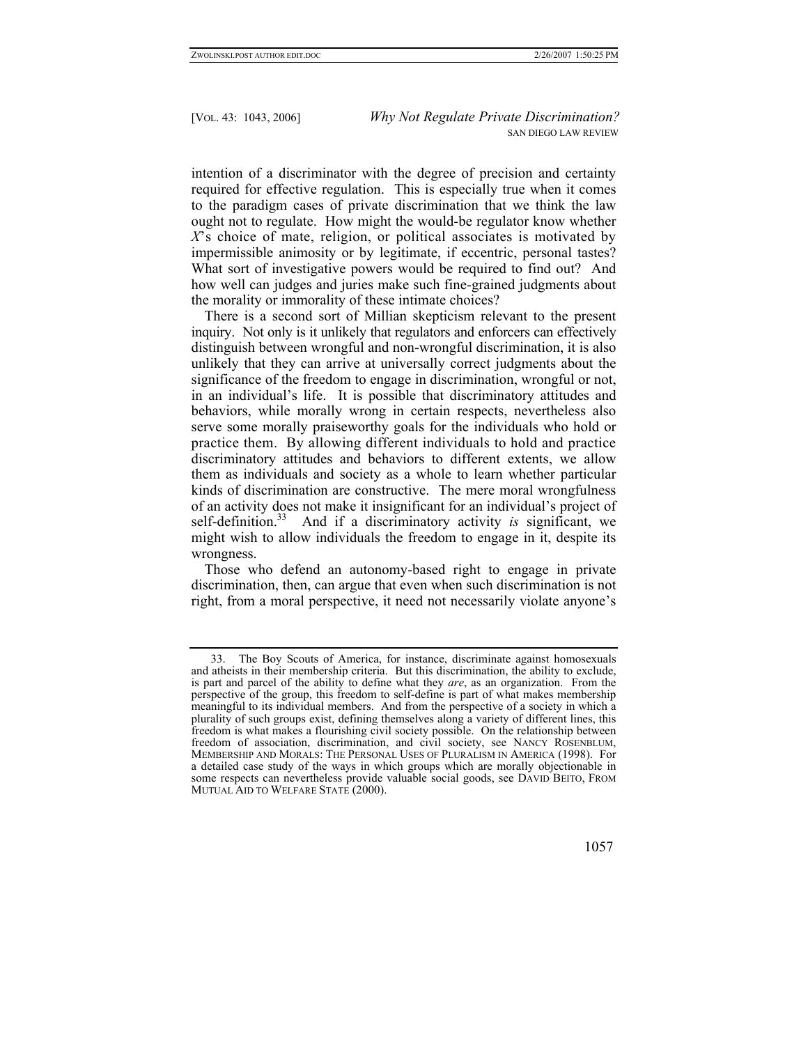intention of a discriminator with the degree of precision and certainty required for effective regulation. This is especially true when it comes to the paradigm cases of private discrimination that we think the law ought not to regulate. How might the would-be regulator know whether *X*'s choice of mate, religion, or political associates is motivated by impermissible animosity or by legitimate, if eccentric, personal tastes? What sort of investigative powers would be required to find out? And how well can judges and juries make such fine-grained judgments about the morality or immorality of these intimate choices?

There is a second sort of Millian skepticism relevant to the present inquiry. Not only is it unlikely that regulators and enforcers can effectively distinguish between wrongful and non-wrongful discrimination, it is also unlikely that they can arrive at universally correct judgments about the significance of the freedom to engage in discrimination, wrongful or not, in an individual's life. It is possible that discriminatory attitudes and behaviors, while morally wrong in certain respects, nevertheless also serve some morally praiseworthy goals for the individuals who hold or practice them. By allowing different individuals to hold and practice discriminatory attitudes and behaviors to different extents, we allow them as individuals and society as a whole to learn whether particular kinds of discrimination are constructive. The mere moral wrongfulness of an activity does not make it insignificant for an individual's project of self-definition[.33](#page-14-0) And if a discriminatory activity *is* significant, we might wish to allow individuals the freedom to engage in it, despite its wrongness.

Those who defend an autonomy-based right to engage in private discrimination, then, can argue that even when such discrimination is not right, from a moral perspective, it need not necessarily violate anyone's

<span id="page-14-0"></span><sup>33.</sup> The Boy Scouts of America, for instance, discriminate against homosexuals and atheists in their membership criteria. But this discrimination, the ability to exclude, is part and parcel of the ability to define what they *are*, as an organization. From the perspective of the group, this freedom to self-define is part of what makes membership meaningful to its individual members. And from the perspective of a society in which a plurality of such groups exist, defining themselves along a variety of different lines, this freedom is what makes a flourishing civil society possible. On the relationship between freedom of association, discrimination, and civil society, see NANCY ROSENBLUM, MEMBERSHIP AND MORALS: THE PERSONAL USES OF PLURALISM IN AMERICA (1998). For a detailed case study of the ways in which groups which are morally objectionable in some respects can nevertheless provide valuable social goods, see DAVID BEITO, FROM MUTUAL AID TO WELFARE STATE (2000).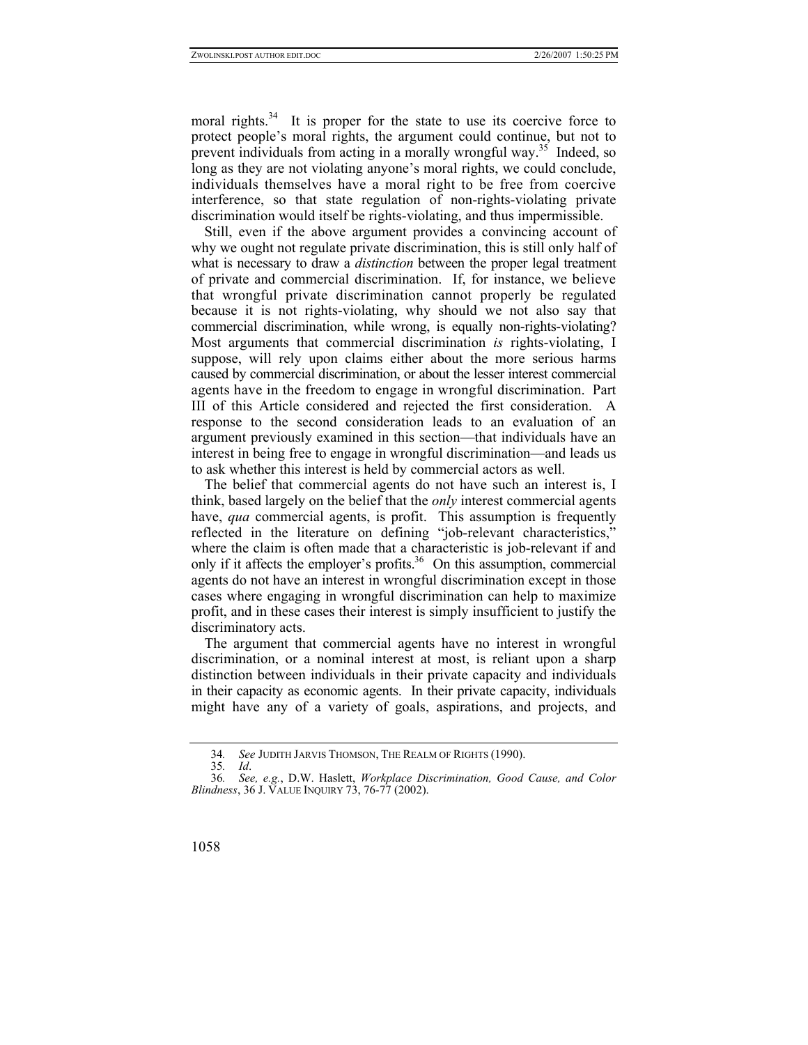moral rights.<sup>34</sup> It is proper for the state to use its coercive force to protect people's moral rights, the argument could continue, but not to prevent individuals from acting in a morally wrongful way.<sup>35</sup> Indeed, so long as they are not violating anyone's moral rights, we could conclude, individuals themselves have a moral right to be free from coercive interference, so that state regulation of non-rights-violating private discrimination would itself be rights-violating, and thus impermissible.

Still, even if the above argument provides a convincing account of why we ought not regulate private discrimination, this is still only half of what is necessary to draw a *distinction* between the proper legal treatment of private and commercial discrimination. If, for instance, we believe that wrongful private discrimination cannot properly be regulated because it is not rights-violating, why should we not also say that commercial discrimination, while wrong, is equally non-rights-violating? Most arguments that commercial discrimination *is* rights-violating, I suppose, will rely upon claims either about the more serious harms caused by commercial discrimination, or about the lesser interest commercial agents have in the freedom to engage in wrongful discrimination. Part III of this Article considered and rejected the first consideration. A response to the second consideration leads to an evaluation of an argument previously examined in this section—that individuals have an interest in being free to engage in wrongful discrimination—and leads us to ask whether this interest is held by commercial actors as well.

The belief that commercial agents do not have such an interest is, I think, based largely on the belief that the *only* interest commercial agents have, *qua* commercial agents, is profit. This assumption is frequently reflected in the literature on defining "job-relevant characteristics," where the claim is often made that a characteristic is job-relevant if and only if it affects the employer's profits. $36$  On this assumption, commercial agents do not have an interest in wrongful discrimination except in those cases where engaging in wrongful discrimination can help to maximize profit, and in these cases their interest is simply insufficient to justify the discriminatory acts.

The argument that commercial agents have no interest in wrongful discrimination, or a nominal interest at most, is reliant upon a sharp distinction between individuals in their private capacity and individuals in their capacity as economic agents. In their private capacity, individuals might have any of a variety of goals, aspirations, and projects, and

<span id="page-15-0"></span><sup>34</sup>*. See* JUDITH JARVIS THOMSON, THE REALM OF RIGHTS (1990).

<span id="page-15-2"></span><span id="page-15-1"></span><sup>35</sup>*. Id*.

<sup>36</sup>*. See, e.g.*, D.W. Haslett, *Workplace Discrimination, Good Cause, and Color Blindness*, 36 J. VALUE INQUIRY 73, 76-77 (2002).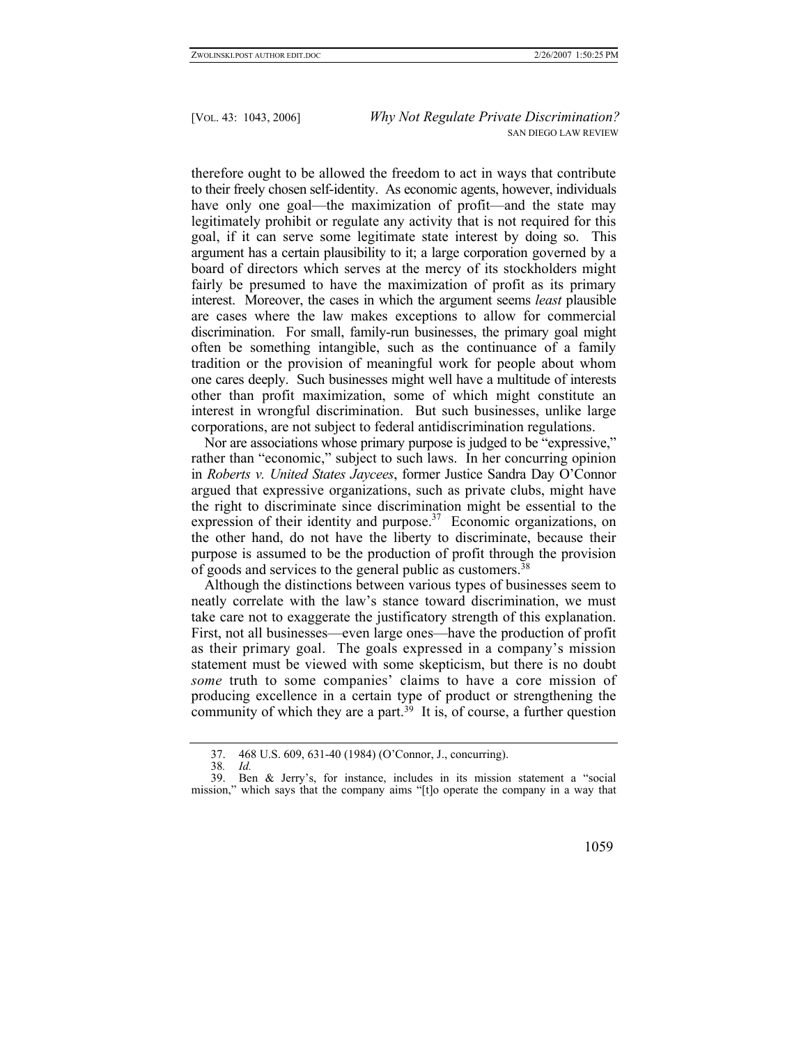therefore ought to be allowed the freedom to act in ways that contribute to their freely chosen self-identity. As economic agents, however, individuals have only one goal—the maximization of profit—and the state may legitimately prohibit or regulate any activity that is not required for this goal, if it can serve some legitimate state interest by doing so. This argument has a certain plausibility to it; a large corporation governed by a board of directors which serves at the mercy of its stockholders might fairly be presumed to have the maximization of profit as its primary interest. Moreover, the cases in which the argument seems *least* plausible are cases where the law makes exceptions to allow for commercial discrimination. For small, family-run businesses, the primary goal might often be something intangible, such as the continuance of a family tradition or the provision of meaningful work for people about whom one cares deeply. Such businesses might well have a multitude of interests other than profit maximization, some of which might constitute an interest in wrongful discrimination. But such businesses, unlike large corporations, are not subject to federal antidiscrimination regulations.

Nor are associations whose primary purpose is judged to be "expressive," rather than "economic," subject to such laws. In her concurring opinion in *Roberts v. United States Jaycees*, former Justice Sandra Day O'Connor argued that expressive organizations, such as private clubs, might have the right to discriminate since discrimination might be essential to the expression of their identity and purpose. $37$  Economic organizations, on the other hand, do not have the liberty to discriminate, because their purpose is assumed to be the production of profit through the provision of goods and services to the general public as customers.[38](#page-16-1)

Although the distinctions between various types of businesses seem to neatly correlate with the law's stance toward discrimination, we must take care not to exaggerate the justificatory strength of this explanation. First, not all businesses—even large ones—have the production of profit as their primary goal. The goals expressed in a company's mission statement must be viewed with some skepticism, but there is no doubt *some* truth to some companies' claims to have a core mission of producing excellence in a certain type of product or strengthening the community of which they are a part.<sup>39</sup> It is, of course, a further question

<span id="page-16-0"></span><sup>37. 468</sup> U.S. 609, 631-40 (1984) (O'Connor, J., concurring).

<span id="page-16-2"></span><span id="page-16-1"></span><sup>38</sup>*. Id.*

Ben & Jerry's, for instance, includes in its mission statement a "social mission," which says that the company aims "[t]o operate the company in a way that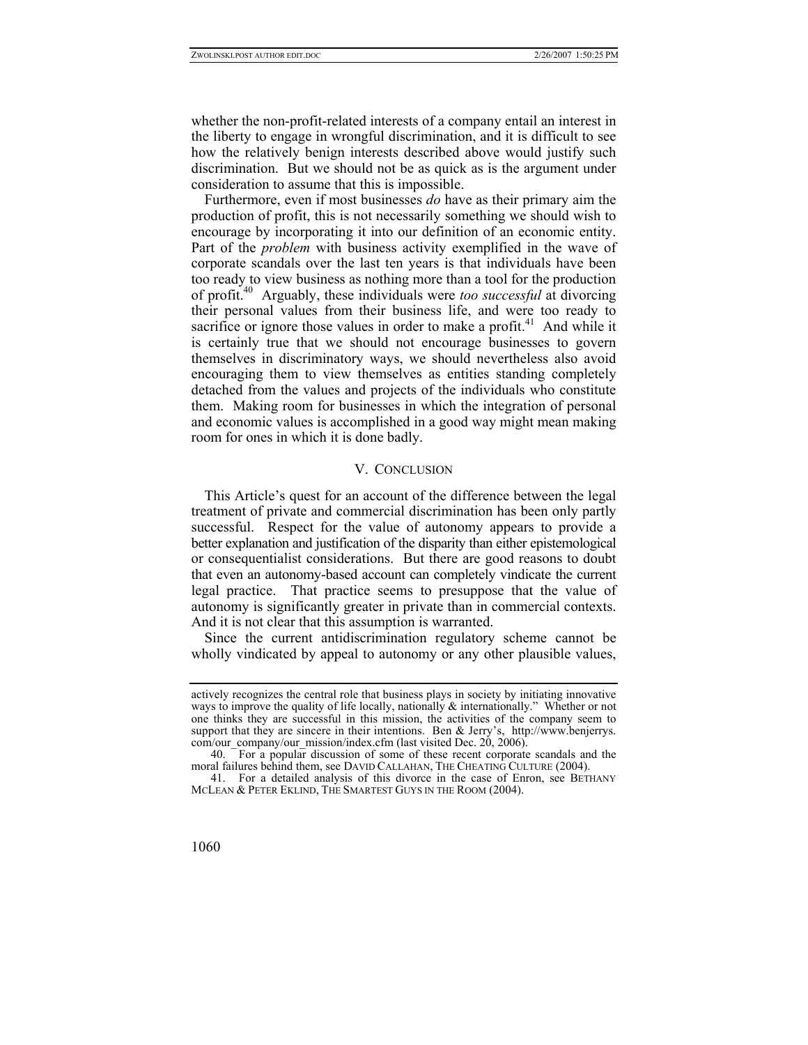whether the non-profit-related interests of a company entail an interest in the liberty to engage in wrongful discrimination, and it is difficult to see how the relatively benign interests described above would justify such discrimination. But we should not be as quick as is the argument under consideration to assume that this is impossible.

Furthermore, even if most businesses *do* have as their primary aim the production of profit, this is not necessarily something we should wish to encourage by incorporating it into our definition of an economic entity. Part of the *problem* with business activity exemplified in the wave of corporate scandals over the last ten years is that individuals have been too ready to view business as nothing more than a tool for the production of profit.[40](#page-17-0) Arguably, these individuals were *too successful* at divorcing their personal values from their business life, and were too ready to sacrifice or ignore those values in order to make a profit.<sup>41</sup> And while it is certainly true that we should not encourage businesses to govern themselves in discriminatory ways, we should nevertheless also avoid encouraging them to view themselves as entities standing completely detached from the values and projects of the individuals who constitute them. Making room for businesses in which the integration of personal and economic values is accomplished in a good way might mean making room for ones in which it is done badly.

## V. CONCLUSION

This Article's quest for an account of the difference between the legal treatment of private and commercial discrimination has been only partly successful. Respect for the value of autonomy appears to provide a better explanation and justification of the disparity than either epistemological or consequentialist considerations. But there are good reasons to doubt that even an autonomy-based account can completely vindicate the current legal practice. That practice seems to presuppose that the value of autonomy is significantly greater in private than in commercial contexts. And it is not clear that this assumption is warranted.

Since the current antidiscrimination regulatory scheme cannot be wholly vindicated by appeal to autonomy or any other plausible values,

actively recognizes the central role that business plays in society by initiating innovative ways to improve the quality of life locally, nationally & internationally." Whether or not one thinks they are successful in this mission, the activities of the company seem to support that they are sincere in their intentions. Ben & Jerry's, http://www.benjerrys. com/our\_company/our\_mission/index.cfm (last visited Dec. 20, 2006).

<span id="page-17-0"></span><sup>40.</sup> For a popular discussion of some of these recent corporate scandals and the moral failures behind them, see DAVID CALLAHAN, THE CHEATING CULTURE (2004).

<span id="page-17-1"></span><sup>41.</sup> For a detailed analysis of this divorce in the case of Enron, see BETHANY MCLEAN & PETER EKLIND, THE SMARTEST GUYS IN THE ROOM (2004).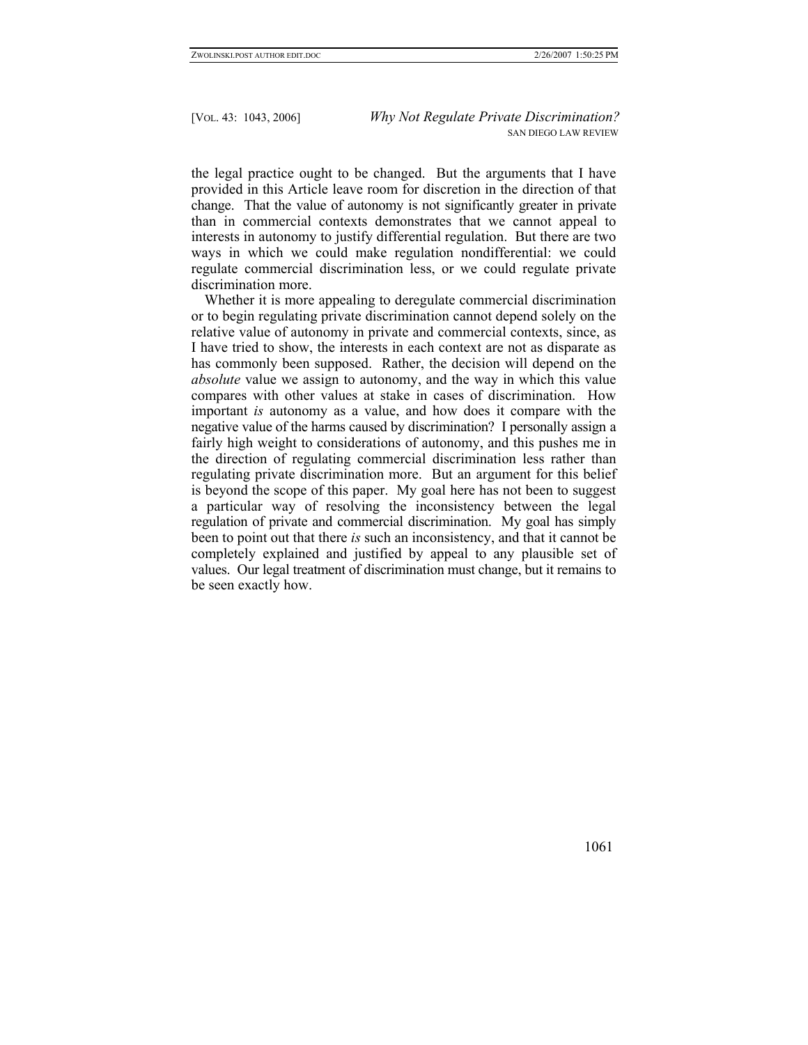the legal practice ought to be changed. But the arguments that I have provided in this Article leave room for discretion in the direction of that change. That the value of autonomy is not significantly greater in private than in commercial contexts demonstrates that we cannot appeal to interests in autonomy to justify differential regulation. But there are two ways in which we could make regulation nondifferential: we could regulate commercial discrimination less, or we could regulate private discrimination more.

Whether it is more appealing to deregulate commercial discrimination or to begin regulating private discrimination cannot depend solely on the relative value of autonomy in private and commercial contexts, since, as I have tried to show, the interests in each context are not as disparate as has commonly been supposed. Rather, the decision will depend on the *absolute* value we assign to autonomy, and the way in which this value compares with other values at stake in cases of discrimination. How important *is* autonomy as a value, and how does it compare with the negative value of the harms caused by discrimination? I personally assign a fairly high weight to considerations of autonomy, and this pushes me in the direction of regulating commercial discrimination less rather than regulating private discrimination more. But an argument for this belief is beyond the scope of this paper. My goal here has not been to suggest a particular way of resolving the inconsistency between the legal regulation of private and commercial discrimination. My goal has simply been to point out that there *is* such an inconsistency, and that it cannot be completely explained and justified by appeal to any plausible set of values. Our legal treatment of discrimination must change, but it remains to be seen exactly how.